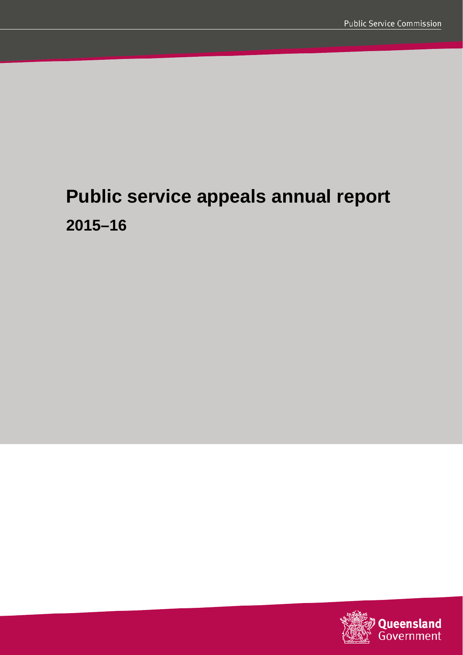# **Public service appeals annual report 2015–16**

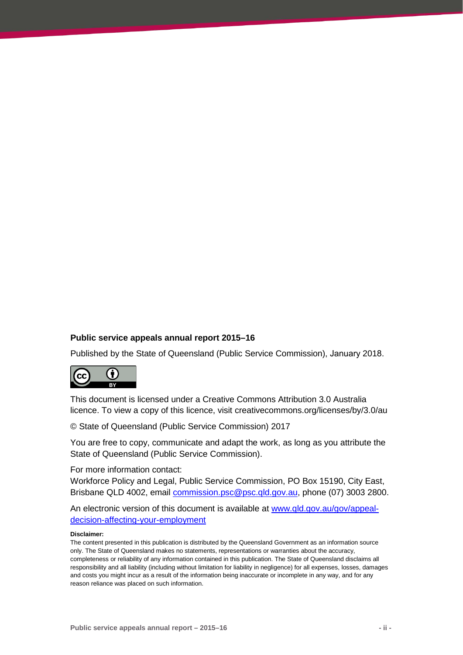#### **Public service appeals annual report 2015–16**

Published by the State of Queensland (Public Service Commission), January 2018.



This document is licensed under a Creative Commons Attribution 3.0 Australia licence. To view a copy of this licence, visit creativecommons.org/licenses/by/3.0/au

© State of Queensland (Public Service Commission) 2017

You are free to copy, communicate and adapt the work, as long as you attribute the State of Queensland (Public Service Commission).

For more information contact:

Workforce Policy and Legal, Public Service Commission, PO Box 15190, City East, Brisbane QLD 4002, email [commission.psc@psc.qld.gov.au,](mailto:commission.psc@psc.qld.gov.au) phone (07) 3003 2800.

An electronic version of this document is available at [www.qld.gov.au/gov/appeal](https://www.qld.gov.au/gov/appeal-decision-affecting-your-employment)[decision-affecting-your-employment](https://www.qld.gov.au/gov/appeal-decision-affecting-your-employment) 

#### **Disclaimer:**

The content presented in this publication is distributed by the Queensland Government as an information source only. The State of Queensland makes no statements, representations or warranties about the accuracy, completeness or reliability of any information contained in this publication. The State of Queensland disclaims all responsibility and all liability (including without limitation for liability in negligence) for all expenses, losses, damages and costs you might incur as a result of the information being inaccurate or incomplete in any way, and for any reason reliance was placed on such information.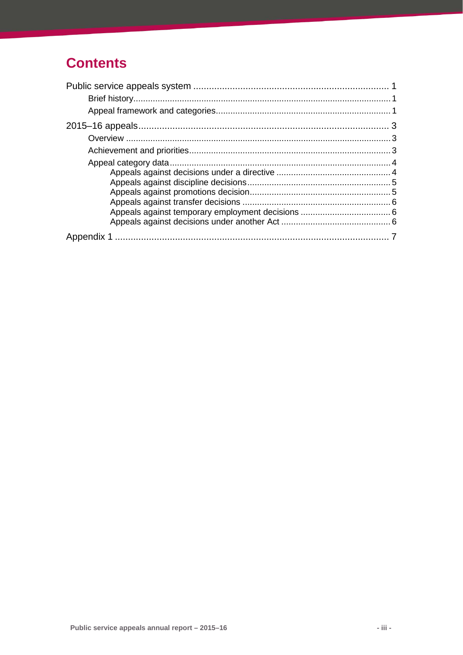# **Contents**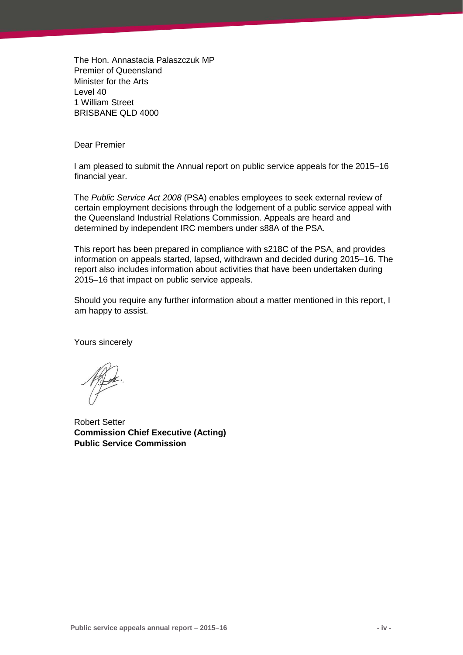The Hon. Annastacia Palaszczuk MP Premier of Queensland Minister for the Arts Level 40 1 William Street BRISBANE QLD 4000

Dear Premier

I am pleased to submit the Annual report on public service appeals for the 2015–16 financial year.

The *Public Service Act 2008* (PSA) enables employees to seek external review of certain employment decisions through the lodgement of a public service appeal with the Queensland Industrial Relations Commission. Appeals are heard and determined by independent IRC members under s88A of the PSA.

This report has been prepared in compliance with s218C of the PSA, and provides information on appeals started, lapsed, withdrawn and decided during 2015–16. The report also includes information about activities that have been undertaken during 2015–16 that impact on public service appeals.

Should you require any further information about a matter mentioned in this report, I am happy to assist.

Yours sincerely

Robert Setter **Commission Chief Executive (Acting) Public Service Commission**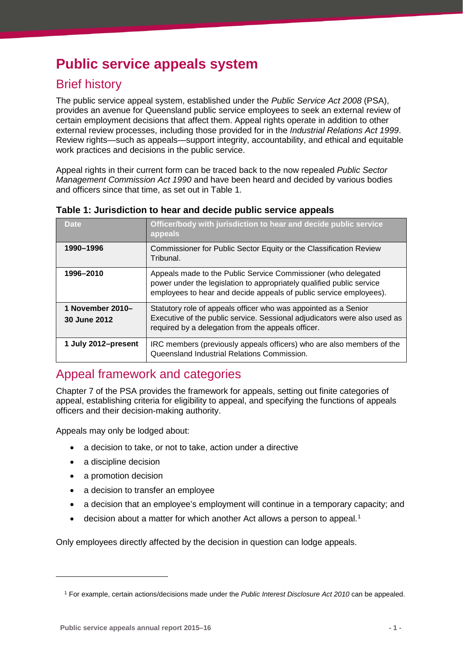# <span id="page-4-0"></span>**Public service appeals system**

# <span id="page-4-1"></span>Brief history

The public service appeal system, established under the *Public Service Act 2008* (PSA), provides an avenue for Queensland public service employees to seek an external review of certain employment decisions that affect them. Appeal rights operate in addition to other external review processes, including those provided for in the *Industrial Relations Act 1999*. Review rights—such as appeals—support integrity, accountability, and ethical and equitable work practices and decisions in the public service.

Appeal rights in their current form can be traced back to the now repealed *Public Sector Management Commission Act 1990* and have been heard and decided by various bodies and officers since that time, as set out in Table 1.

| Date                             | Officer/body with jurisdiction to hear and decide public service<br>appeals                                                                                                                                   |
|----------------------------------|---------------------------------------------------------------------------------------------------------------------------------------------------------------------------------------------------------------|
| 1990-1996                        | Commissioner for Public Sector Equity or the Classification Review<br>Tribunal.                                                                                                                               |
| 1996-2010                        | Appeals made to the Public Service Commissioner (who delegated<br>power under the legislation to appropriately qualified public service<br>employees to hear and decide appeals of public service employees). |
| 1 November 2010-<br>30 June 2012 | Statutory role of appeals officer who was appointed as a Senior<br>Executive of the public service. Sessional adjudicators were also used as<br>required by a delegation from the appeals officer.            |
| 1 July 2012–present              | IRC members (previously appeals officers) who are also members of the<br>Queensland Industrial Relations Commission.                                                                                          |

**Table 1: Jurisdiction to hear and decide public service appeals** 

## <span id="page-4-2"></span>Appeal framework and categories

Chapter 7 of the PSA provides the framework for appeals, setting out finite categories of appeal, establishing criteria for eligibility to appeal, and specifying the functions of appeals officers and their decision-making authority.

Appeals may only be lodged about:

- a decision to take, or not to take, action under a directive
- a discipline decision
- a promotion decision

<span id="page-4-3"></span>-

- a decision to transfer an employee
- a decision that an employee's employment will continue in a temporary capacity; and
- $\bullet$  decision about a matter for which another Act allows a person to appeal.<sup>[1](#page-4-3)</sup>

Only employees directly affected by the decision in question can lodge appeals.

<sup>1</sup> For example, certain actions/decisions made under the *Public Interest Disclosure Act 2010* can be appealed.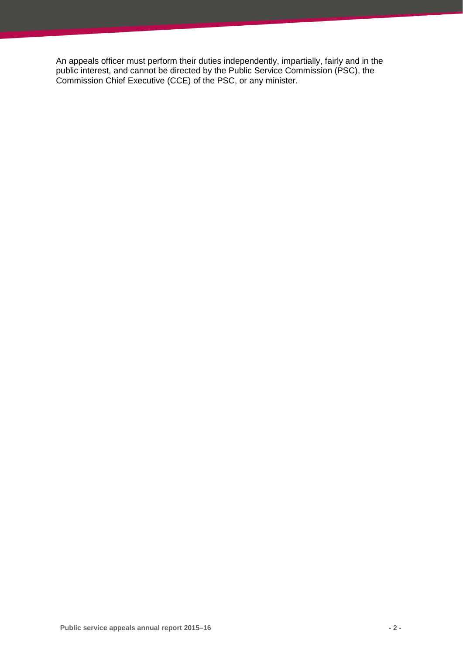An appeals officer must perform their duties independently, impartially, fairly and in the public interest, and cannot be directed by the Public Service Commission (PSC), the Commission Chief Executive (CCE) of the PSC, or any minister.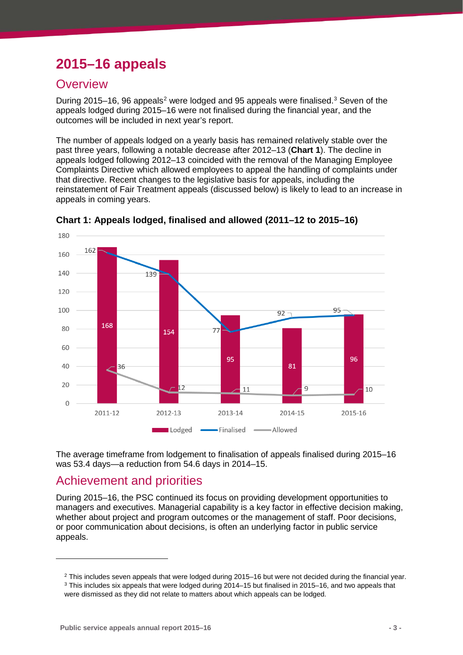# <span id="page-6-0"></span>**2015–16 appeals**

### <span id="page-6-1"></span>**Overview**

During [2](#page-6-3)015–16, 96 appeals<sup>2</sup> were lodged and 95 appeals were finalised.<sup>[3](#page-6-4)</sup> Seven of the appeals lodged during 2015–16 were not finalised during the financial year, and the outcomes will be included in next year's report.

The number of appeals lodged on a yearly basis has remained relatively stable over the past three years, following a notable decrease after 2012–13 (**Chart 1**). The decline in appeals lodged following 2012–13 coincided with the removal of the Managing Employee Complaints Directive which allowed employees to appeal the handling of complaints under that directive. Recent changes to the legislative basis for appeals, including the reinstatement of Fair Treatment appeals (discussed below) is likely to lead to an increase in appeals in coming years.





The average timeframe from lodgement to finalisation of appeals finalised during 2015–16 was 53.4 days—a reduction from 54.6 days in 2014–15.

### <span id="page-6-2"></span>Achievement and priorities

<span id="page-6-3"></span>-

During 2015–16, the PSC continued its focus on providing development opportunities to managers and executives. Managerial capability is a key factor in effective decision making, whether about project and program outcomes or the management of staff. Poor decisions, or poor communication about decisions, is often an underlying factor in public service appeals.

<sup>&</sup>lt;sup>2</sup> This includes seven appeals that were lodged during 2015–16 but were not decided during the financial year.  $3$  This includes six appeals that were lodged during 2014–15 but finalised in 2015–16, and two appeals that

<span id="page-6-4"></span>were dismissed as they did not relate to matters about which appeals can be lodged.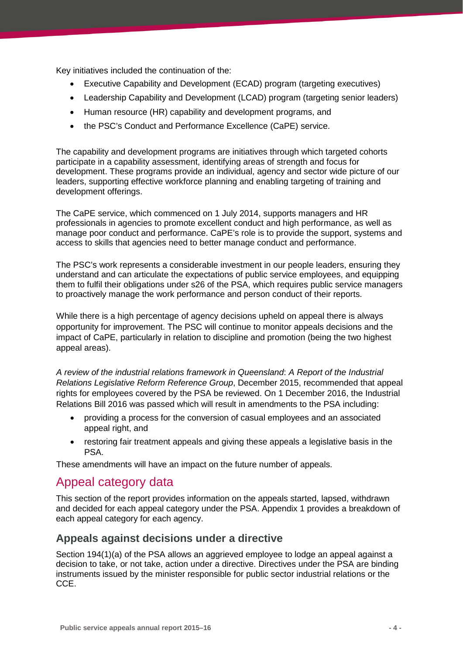Key initiatives included the continuation of the:

- Executive Capability and Development (ECAD) program (targeting executives)
- Leadership Capability and Development (LCAD) program (targeting senior leaders)
- Human resource (HR) capability and development programs, and
- the PSC's Conduct and Performance Excellence (CaPE) service.

The capability and development programs are initiatives through which targeted cohorts participate in a capability assessment, identifying areas of strength and focus for development. These programs provide an individual, agency and sector wide picture of our leaders, supporting effective workforce planning and enabling targeting of training and development offerings.

The CaPE service, which commenced on 1 July 2014, supports managers and HR professionals in agencies to promote excellent conduct and high performance, as well as manage poor conduct and performance. CaPE's role is to provide the support, systems and access to skills that agencies need to better manage conduct and performance.

The PSC's work represents a considerable investment in our people leaders, ensuring they understand and can articulate the expectations of public service employees, and equipping them to fulfil their obligations under s26 of the PSA, which requires public service managers to proactively manage the work performance and person conduct of their reports.

While there is a high percentage of agency decisions upheld on appeal there is always opportunity for improvement. The PSC will continue to monitor appeals decisions and the impact of CaPE, particularly in relation to discipline and promotion (being the two highest appeal areas).

*A review of the industrial relations framework in Queensland*: *A Report of the Industrial Relations Legislative Reform Reference Group*, December 2015, recommended that appeal rights for employees covered by the PSA be reviewed. On 1 December 2016, the Industrial Relations Bill 2016 was passed which will result in amendments to the PSA including:

- providing a process for the conversion of casual employees and an associated appeal right, and
- restoring fair treatment appeals and giving these appeals a legislative basis in the PSA.

These amendments will have an impact on the future number of appeals.

### <span id="page-7-0"></span>Appeal category data

This section of the report provides information on the appeals started, lapsed, withdrawn and decided for each appeal category under the PSA. Appendix 1 provides a breakdown of each appeal category for each agency.

#### <span id="page-7-1"></span>**Appeals against decisions under a directive**

Section 194(1)(a) of the PSA allows an aggrieved employee to lodge an appeal against a decision to take, or not take, action under a directive. Directives under the PSA are binding instruments issued by the minister responsible for public sector industrial relations or the CCE.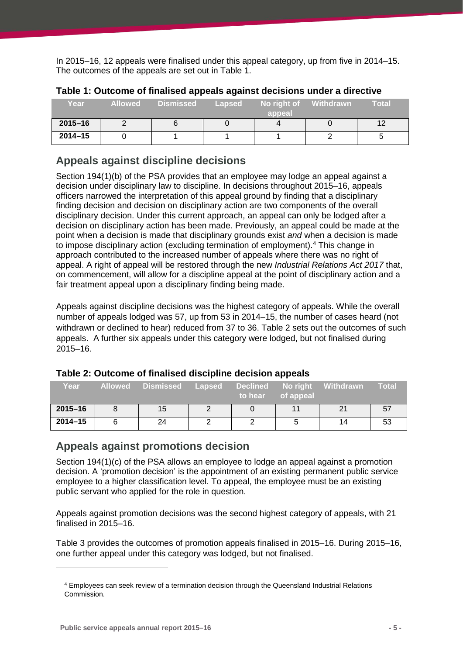In 2015–16, 12 appeals were finalised under this appeal category, up from five in 2014–15. The outcomes of the appeals are set out in Table 1.

| Year        | <b>Allowed</b> | <b>Dismissed</b> | Lapsed | No right of<br>appeal | <b>Withdrawn</b> | Total |
|-------------|----------------|------------------|--------|-----------------------|------------------|-------|
| $2015 - 16$ |                |                  |        |                       |                  |       |
| $2014 - 15$ |                |                  |        |                       |                  |       |

| Table 1: Outcome of finalised appeals against decisions under a directive |  |
|---------------------------------------------------------------------------|--|
|---------------------------------------------------------------------------|--|

### <span id="page-8-0"></span>**Appeals against discipline decisions**

Section 194(1)(b) of the PSA provides that an employee may lodge an appeal against a decision under disciplinary law to discipline. In decisions throughout 2015–16, appeals officers narrowed the interpretation of this appeal ground by finding that a disciplinary finding decision and decision on disciplinary action are two components of the overall disciplinary decision. Under this current approach, an appeal can only be lodged after a decision on disciplinary action has been made. Previously, an appeal could be made at the point when a decision is made that disciplinary grounds exist *and* when a decision is made to impose disciplinary action (excluding termination of employment). [4](#page-8-2) This change in approach contributed to the increased number of appeals where there was no right of appeal. A right of appeal will be restored through the new *Industrial Relations Act 2017* that, on commencement, will allow for a discipline appeal at the point of disciplinary action and a fair treatment appeal upon a disciplinary finding being made.

Appeals against discipline decisions was the highest category of appeals. While the overall number of appeals lodged was 57, up from 53 in 2014–15, the number of cases heard (not withdrawn or declined to hear) reduced from 37 to 36. Table 2 sets out the outcomes of such appeals. A further six appeals under this category were lodged, but not finalised during 2015–16.

| Year        | <b>Allowed</b> | <b>Dismissed</b> | <b>Lapsed</b> | <b>Declined</b><br>/ to hear⊥ | of appeal | No right Withdrawn | Total |  |
|-------------|----------------|------------------|---------------|-------------------------------|-----------|--------------------|-------|--|
| $2015 - 16$ |                | 15               |               |                               |           |                    | 57    |  |
| $2014 - 15$ |                | 24               |               |                               |           | 14                 | 53    |  |

#### **Table 2: Outcome of finalised discipline decision appeals**

#### <span id="page-8-1"></span>**Appeals against promotions decision**

Section 194(1)(c) of the PSA allows an employee to lodge an appeal against a promotion decision. A 'promotion decision' is the appointment of an existing permanent public service employee to a higher classification level. To appeal, the employee must be an existing public servant who applied for the role in question.

Appeals against promotion decisions was the second highest category of appeals, with 21 finalised in 2015–16.

Table 3 provides the outcomes of promotion appeals finalised in 2015–16. During 2015–16, one further appeal under this category was lodged, but not finalised.

<span id="page-8-2"></span>-

<sup>4</sup> Employees can seek review of a termination decision through the Queensland Industrial Relations Commission.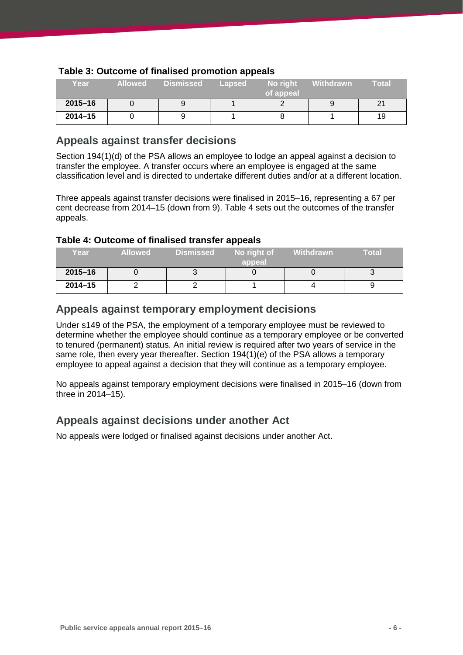| Year        | <b>Allowed</b> | Dismissed | Lapsed | No right<br>of appeal | <b>Withdrawn</b> | <b>Total</b> |
|-------------|----------------|-----------|--------|-----------------------|------------------|--------------|
| $2015 - 16$ |                |           |        |                       |                  |              |
| $2014 - 15$ |                |           |        |                       |                  | 19           |

#### **Table 3: Outcome of finalised promotion appeals**

#### <span id="page-9-0"></span>**Appeals against transfer decisions**

Section 194(1)(d) of the PSA allows an employee to lodge an appeal against a decision to transfer the employee. A transfer occurs where an employee is engaged at the same classification level and is directed to undertake different duties and/or at a different location.

Three appeals against transfer decisions were finalised in 2015–16, representing a 67 per cent decrease from 2014–15 (down from 9). Table 4 sets out the outcomes of the transfer appeals.

#### **Table 4: Outcome of finalised transfer appeals**

| Year        | <b>Allowed</b> | <b>Dismissed</b> | No right of<br>appeal | Withdrawn | Total |
|-------------|----------------|------------------|-----------------------|-----------|-------|
| $2015 - 16$ |                |                  |                       |           |       |
| $2014 - 15$ |                |                  |                       |           |       |

#### <span id="page-9-1"></span>**Appeals against temporary employment decisions**

Under s149 of the PSA, the employment of a temporary employee must be reviewed to determine whether the employee should continue as a temporary employee or be converted to tenured (permanent) status. An initial review is required after two years of service in the same role, then every year thereafter. Section 194(1)(e) of the PSA allows a temporary employee to appeal against a decision that they will continue as a temporary employee.

No appeals against temporary employment decisions were finalised in 2015–16 (down from three in 2014–15).

#### <span id="page-9-2"></span>**Appeals against decisions under another Act**

No appeals were lodged or finalised against decisions under another Act.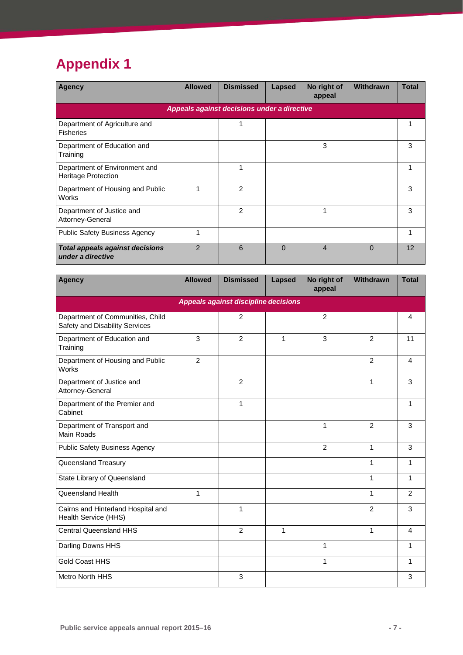# <span id="page-10-0"></span>**Appendix 1**

| Agency                                                      | <b>Allowed</b> | <b>Dismissed</b>                            | Lapsed   | No right of<br>appeal | Withdrawn | <b>Total</b> |
|-------------------------------------------------------------|----------------|---------------------------------------------|----------|-----------------------|-----------|--------------|
|                                                             |                | Appeals against decisions under a directive |          |                       |           |              |
| Department of Agriculture and<br><b>Fisheries</b>           |                |                                             |          |                       |           |              |
| Department of Education and<br>Training                     |                |                                             |          | 3                     |           | 3            |
| Department of Environment and<br><b>Heritage Protection</b> |                |                                             |          |                       |           |              |
| Department of Housing and Public<br>Works                   | 1              | $\mathcal{P}$                               |          |                       |           | 3            |
| Department of Justice and<br>Attorney-General               |                | $\overline{2}$                              |          | 1                     |           | 3            |
| <b>Public Safety Business Agency</b>                        | 1              |                                             |          |                       |           | 1            |
| <b>Total appeals against decisions</b><br>under a directive | $\mathcal{P}$  | 6                                           | $\Omega$ | $\overline{4}$        | $\Omega$  | 12           |

| <b>Agency</b>                                                      | <b>Allowed</b> | <b>Dismissed</b>                     | Lapsed      | No right of<br>appeal | Withdrawn   | <b>Total</b>   |
|--------------------------------------------------------------------|----------------|--------------------------------------|-------------|-----------------------|-------------|----------------|
|                                                                    |                | Appeals against discipline decisions |             |                       |             |                |
| Department of Communities, Child<br>Safety and Disability Services |                | $\overline{2}$                       |             | $\overline{2}$        |             | $\overline{4}$ |
| Department of Education and<br>Training                            | 3              | $\overline{2}$                       | 1           | 3                     | 2           | 11             |
| Department of Housing and Public<br><b>Works</b>                   | $\overline{2}$ |                                      |             |                       | 2           | $\overline{4}$ |
| Department of Justice and<br>Attorney-General                      |                | $\overline{2}$                       |             |                       | 1           | 3              |
| Department of the Premier and<br>Cabinet                           |                | 1                                    |             |                       |             | 1              |
| Department of Transport and<br><b>Main Roads</b>                   |                |                                      |             | 1                     | 2           | 3              |
| Public Safety Business Agency                                      |                |                                      |             | $\overline{2}$        | 1           | 3              |
| Queensland Treasury                                                |                |                                      |             |                       | 1           | 1              |
| State Library of Queensland                                        |                |                                      |             |                       | 1           | 1              |
| Queensland Health                                                  | $\mathbf{1}$   |                                      |             |                       | 1           | 2              |
| Cairns and Hinterland Hospital and<br>Health Service (HHS)         |                | 1                                    |             |                       | 2           | 3              |
| <b>Central Queensland HHS</b>                                      |                | 2                                    | $\mathbf 1$ |                       | $\mathbf 1$ | $\overline{4}$ |
| Darling Downs HHS                                                  |                |                                      |             | $\mathbf{1}$          |             | 1              |
| <b>Gold Coast HHS</b>                                              |                |                                      |             | 1                     |             | 1              |
| <b>Metro North HHS</b>                                             |                | 3                                    |             |                       |             | 3              |